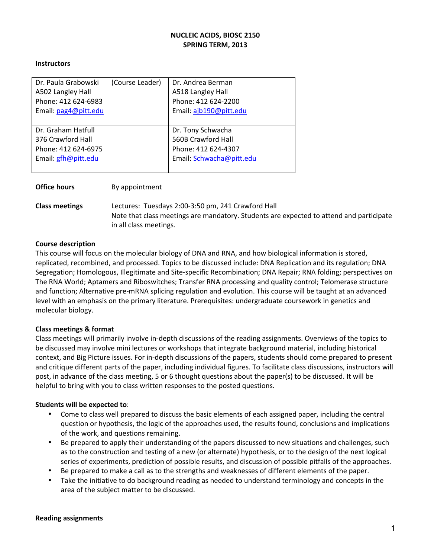#### **NUCLEIC ACIDS, BIOSC 2150** SPRING TERM, 2013

#### **Instructors**

| Dr. Paula Grabowski  | (Course Leader) | Dr. Andrea Berman        |
|----------------------|-----------------|--------------------------|
| A502 Langley Hall    |                 | A518 Langley Hall        |
| Phone: 412 624-6983  |                 | Phone: 412 624-2200      |
| Email: pag4@pitt.edu |                 | Email: ajb190@pitt.edu   |
|                      |                 |                          |
| Dr. Graham Hatfull   |                 | Dr. Tony Schwacha        |
| 376 Crawford Hall    |                 | 560B Crawford Hall       |
| Phone: 412 624-6975  |                 | Phone: 412 624-4307      |
| Email: gfh@pitt.edu  |                 | Email: Schwacha@pitt.edu |
|                      |                 |                          |

| <b>Office hours</b>   | By appointment                                                                                                                                                          |
|-----------------------|-------------------------------------------------------------------------------------------------------------------------------------------------------------------------|
| <b>Class meetings</b> | Lectures: Tuesdays 2:00-3:50 pm, 241 Crawford Hall<br>Note that class meetings are mandatory. Students are expected to attend and participate<br>in all class meetings. |

#### **Course description**

This course will focus on the molecular biology of DNA and RNA, and how biological information is stored, replicated, recombined, and processed. Topics to be discussed include: DNA Replication and its regulation; DNA Segregation; Homologous, Illegitimate and Site-specific Recombination; DNA Repair; RNA folding; perspectives on The RNA World; Aptamers and Riboswitches; Transfer RNA processing and quality control; Telomerase structure and function; Alternative pre-mRNA splicing regulation and evolution. This course will be taught at an advanced level with an emphasis on the primary literature. Prerequisites: undergraduate coursework in genetics and molecular biology.

#### **Class meetings & format**

Class meetings will primarily involve in-depth discussions of the reading assignments. Overviews of the topics to be discussed may involve mini lectures or workshops that integrate background material, including historical context, and Big Picture issues. For in-depth discussions of the papers, students should come prepared to present and critique different parts of the paper, including individual figures. To facilitate class discussions, instructors will post, in advance of the class meeting, 5 or 6 thought questions about the paper(s) to be discussed. It will be helpful to bring with you to class written responses to the posted questions.

#### **Students will be expected to:**

- Come to class well prepared to discuss the basic elements of each assigned paper, including the central question or hypothesis, the logic of the approaches used, the results found, conclusions and implications of the work, and questions remaining.
- Be prepared to apply their understanding of the papers discussed to new situations and challenges, such as to the construction and testing of a new (or alternate) hypothesis, or to the design of the next logical series of experiments, prediction of possible results, and discussion of possible pitfalls of the approaches.
- Be prepared to make a call as to the strengths and weaknesses of different elements of the paper.
- Take the initiative to do background reading as needed to understand terminology and concepts in the area of the subject matter to be discussed.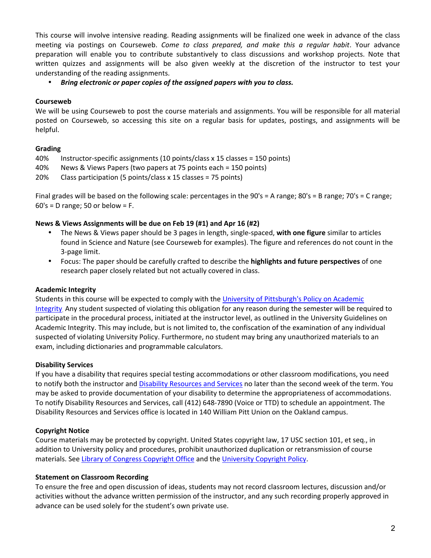This course will involve intensive reading. Reading assignments will be finalized one week in advance of the class meeting via postings on Courseweb. *Come to class prepared, and make this a regular habit*. Your advance preparation will enable you to contribute substantively to class discussions and workshop projects. Note that written quizzes and assignments will be also given weekly at the discretion of the instructor to test your understanding of the reading assignments.

• Bring electronic or paper copies of the assigned papers with you to class.

## **Courseweb**

We will be using Courseweb to post the course materials and assignments. You will be responsible for all material posted on Courseweb, so accessing this site on a regular basis for updates, postings, and assignments will be helpful.

## **Grading**

40% Instructor-specific assignments (10 points/class x 15 classes = 150 points)

40% News & Views Papers (two papers at 75 points each = 150 points)

 $20\%$  Class participation (5 points/class x 15 classes = 75 points)

Final grades will be based on the following scale: percentages in the  $90's = A$  range;  $80's = B$  range;  $70's = C$  range;  $60's = D range$ ; 50 or below = F.

## **News & Views Assignments will be due on Feb 19 (#1) and Apr 16 (#2)**

- The News & Views paper should be 3 pages in length, single-spaced, **with one figure** similar to articles found in Science and Nature (see Courseweb for examples). The figure and references do not count in the 3-page limit.
- Focus: The paper should be carefully crafted to describe the **highlights and future perspectives** of one research paper closely related but not actually covered in class.

# **Academic Integrity**

Students in this course will be expected to comply with the University of Pittsburgh's Policy on Academic Integrity. Any student suspected of violating this obligation for any reason during the semester will be required to participate in the procedural process, initiated at the instructor level, as outlined in the University Guidelines on Academic Integrity. This may include, but is not limited to, the confiscation of the examination of any individual suspected of violating University Policy. Furthermore, no student may bring any unauthorized materials to an exam, including dictionaries and programmable calculators.

# **Disability Services**

If you have a disability that requires special testing accommodations or other classroom modifications, you need to notify both the instructor and Disability Resources and Services no later than the second week of the term. You may be asked to provide documentation of your disability to determine the appropriateness of accommodations. To notify Disability Resources and Services, call (412) 648-7890 (Voice or TTD) to schedule an appointment. The Disability Resources and Services office is located in 140 William Pitt Union on the Oakland campus.

# **Copyright Notice**

Course materials may be protected by copyright. United States copyright law, 17 USC section 101, et seq., in addition to University policy and procedures, prohibit unauthorized duplication or retransmission of course materials. See Library of Congress Copyright Office and the University Copyright Policy.

#### **Statement on Classroom Recording**

To ensure the free and open discussion of ideas, students may not record classroom lectures, discussion and/or activities without the advance written permission of the instructor, and any such recording properly approved in advance can be used solely for the student's own private use.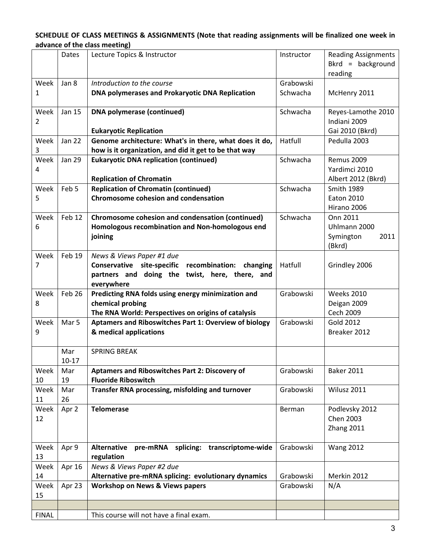## SCHEDULE OF CLASS MEETINGS & ASSIGNMENTS (Note that reading assignments will be finalized one week in advance of the class meeting)

|                        | Dates         | Lecture Topics & Instructor                                        | Instructor | <b>Reading Assignments</b><br>$Bkrd = background$<br>reading |
|------------------------|---------------|--------------------------------------------------------------------|------------|--------------------------------------------------------------|
| Week                   | Jan 8         | Introduction to the course                                         | Grabowski  |                                                              |
| 1                      |               | DNA polymerases and Prokaryotic DNA Replication                    | Schwacha   | McHenry 2011                                                 |
| Week<br>$\overline{2}$ | Jan 15        | <b>DNA polymerase (continued)</b><br><b>Eukaryotic Replication</b> | Schwacha   | Reyes-Lamothe 2010<br>Indiani 2009<br>Gai 2010 (Bkrd)        |
| Week                   | <b>Jan 22</b> | Genome architecture: What's in there, what does it do,             | Hatfull    | Pedulla 2003                                                 |
| 3                      |               | how is it organization, and did it get to be that way              |            |                                                              |
| Week                   | <b>Jan 29</b> | <b>Eukaryotic DNA replication (continued)</b>                      | Schwacha   | <b>Remus 2009</b>                                            |
| 4                      |               |                                                                    |            | Yardimci 2010                                                |
|                        |               | <b>Replication of Chromatin</b>                                    |            | Albert 2012 (Bkrd)                                           |
| Week                   | Feb 5         | <b>Replication of Chromatin (continued)</b>                        | Schwacha   | <b>Smith 1989</b>                                            |
| 5                      |               | <b>Chromosome cohesion and condensation</b>                        |            | <b>Eaton 2010</b>                                            |
|                        |               |                                                                    |            | Hirano 2006                                                  |
| Week                   | Feb 12        | Chromosome cohesion and condensation (continued)                   | Schwacha   | Onn 2011                                                     |
| 6                      |               | Homologous recombination and Non-homologous end                    |            | Uhlmann 2000                                                 |
|                        |               | joining                                                            |            | Symington<br>2011                                            |
|                        |               |                                                                    |            | (Bkrd)                                                       |
| Week                   | Feb 19        | News & Views Paper #1 due                                          |            |                                                              |
| 7                      |               | Conservative site-specific recombination:<br>changing              | Hatfull    | Grindley 2006                                                |
|                        |               | partners and doing the twist, here, there, and<br>everywhere       |            |                                                              |
| Week                   | Feb 26        | Predicting RNA folds using energy minimization and                 | Grabowski  | <b>Weeks 2010</b>                                            |
| 8                      |               | chemical probing                                                   |            | Deigan 2009                                                  |
|                        |               | The RNA World: Perspectives on origins of catalysis                |            | Cech 2009                                                    |
| Week                   | Mar 5         | <b>Aptamers and Riboswitches Part 1: Overview of biology</b>       | Grabowski  | Gold 2012                                                    |
| 9                      |               | & medical applications                                             |            | Breaker 2012                                                 |
|                        |               |                                                                    |            |                                                              |
|                        | Mar           | <b>SPRING BREAK</b>                                                |            |                                                              |
|                        | $10 - 17$     |                                                                    |            |                                                              |
| Week                   | Mar           | Aptamers and Riboswitches Part 2: Discovery of                     | Grabowski  | <b>Baker 2011</b>                                            |
| 10                     | 19            | <b>Fluoride Riboswitch</b>                                         |            |                                                              |
| Week                   | Mar           | Transfer RNA processing, misfolding and turnover                   | Grabowski  | Wilusz 2011                                                  |
| 11                     | 26            |                                                                    |            |                                                              |
| Week                   | Apr 2         | <b>Telomerase</b>                                                  | Berman     | Podlevsky 2012                                               |
| 12                     |               |                                                                    |            | <b>Chen 2003</b>                                             |
|                        |               |                                                                    |            | Zhang 2011                                                   |
| Week                   | Apr 9         | pre-mRNA splicing: transcriptome-wide<br><b>Alternative</b>        | Grabowski  | <b>Wang 2012</b>                                             |
| 13                     |               | regulation                                                         |            |                                                              |
| Week                   | Apr 16        | News & Views Paper #2 due                                          |            |                                                              |
| 14                     |               | Alternative pre-mRNA splicing: evolutionary dynamics               | Grabowski  | Merkin 2012                                                  |
| Week                   | Apr 23        | <b>Workshop on News &amp; Views papers</b>                         | Grabowski  | N/A                                                          |
| 15                     |               |                                                                    |            |                                                              |
|                        |               |                                                                    |            |                                                              |
| <b>FINAL</b>           |               | This course will not have a final exam.                            |            |                                                              |